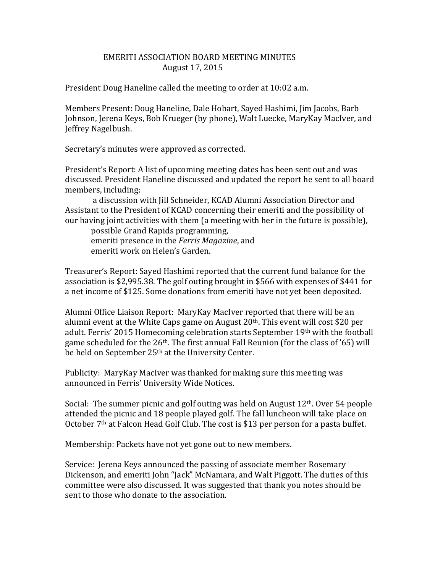## EMERITI ASSOCIATION BOARD MEETING MINUTES August 17, 2015

President Doug Haneline called the meeting to order at 10:02 a.m.

Members Present: Doug Haneline, Dale Hobart, Sayed Hashimi, Jim Jacobs, Barb Johnson, Jerena Keys, Bob Krueger (by phone), Walt Luecke, MaryKay MacIver, and Jeffrey Nagelbush.

Secretary's minutes were approved as corrected.

President's Report: A list of upcoming meeting dates has been sent out and was discussed. President Haneline discussed and updated the report he sent to all board members, including:

a discussion with Jill Schneider, KCAD Alumni Association Director and Assistant to the President of KCAD concerning their emeriti and the possibility of our having joint activities with them (a meeting with her in the future is possible),

possible Grand Rapids programming, emeriti presence in the *Ferris Magazine*, and emeriti work on Helen's Garden.

Treasurer's Report: Sayed Hashimi reported that the current fund balance for the association is \$2,995.38. The golf outing brought in \$566 with expenses of \$441 for a net income of \$125. Some donations from emeriti have not yet been deposited.

Alumni Office Liaison Report: MaryKay MacIver reported that there will be an alumni event at the White Caps game on August  $20<sup>th</sup>$ . This event will cost \$20 per adult. Ferris' 2015 Homecoming celebration starts September 19<sup>th</sup> with the football game scheduled for the 26<sup>th</sup>. The first annual Fall Reunion (for the class of '65) will be held on September 25<sup>th</sup> at the University Center.

Publicity: MaryKay MacIver was thanked for making sure this meeting was announced in Ferris' University Wide Notices.

Social: The summer picnic and golf outing was held on August 12th. Over 54 people attended the picnic and 18 people played golf. The fall luncheon will take place on October 7<sup>th</sup> at Falcon Head Golf Club. The cost is \$13 per person for a pasta buffet.

Membership: Packets have not yet gone out to new members.

Service: Jerena Keys announced the passing of associate member Rosemary Dickenson, and emeriti John "Jack" McNamara, and Walt Piggott. The duties of this committee were also discussed. It was suggested that thank you notes should be sent to those who donate to the association.